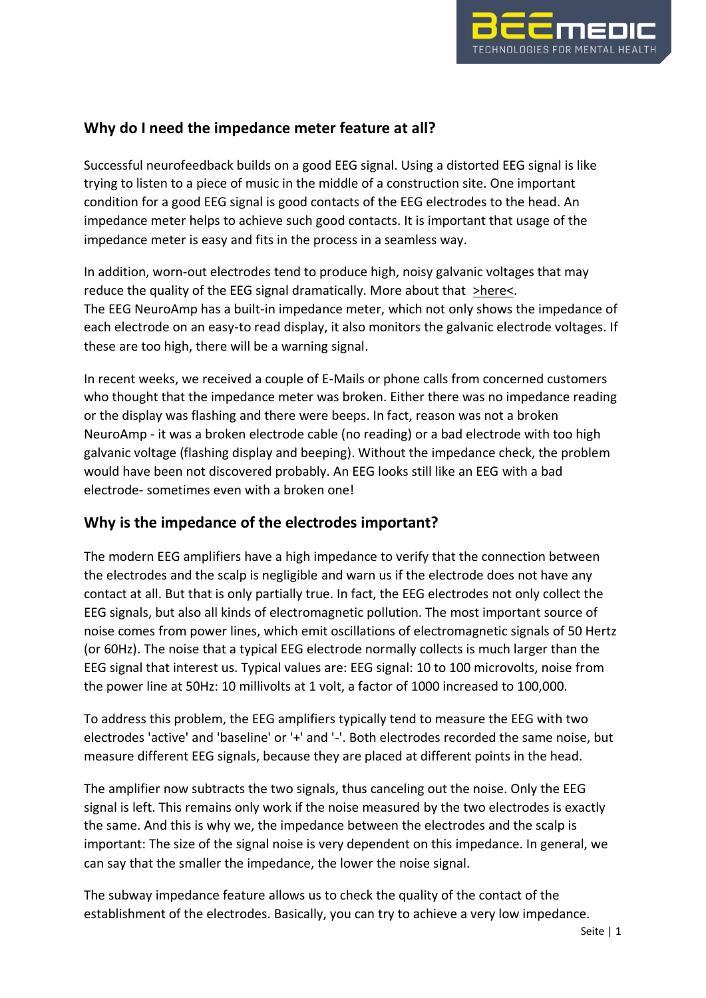

# **Why do I need the impedance meter feature at all?**

Successful neurofeedback builds on a good EEG signal. Using a distorted EEG signal is like trying to listen to a piece of music in the middle of a construction site. One important condition for a good EEG signal is good contacts of the EEG electrodes to the head. An impedance meter helps to achieve such good contacts. It is important that usage of the impedance meter is easy and fits in the process in a seamless way.

In addition, worn-out electrodes tend to produce high, noisy galvanic voltages that may reduce the quality of the EEG signal dramatically. More about that [>here<.](https://www.eeginfo-europe.com/neurofeedback/support/technical-infos-faq/eeg-electrodes-and-galvanic-voltage.html) The EEG NeuroAmp has a built-in impedance meter, which not only shows the impedance of each electrode on an easy-to read display, it also monitors the galvanic electrode voltages. If these are too high, there will be a warning signal.

In recent weeks, we received a couple of E-Mails or phone calls from concerned customers who thought that the impedance meter was broken. Either there was no impedance reading or the display was flashing and there were beeps. In fact, reason was not a broken NeuroAmp - it was a broken electrode cable (no reading) or a bad electrode with too high galvanic voltage (flashing display and beeping). Without the impedance check, the problem would have been not discovered probably. An EEG looks still like an EEG with a bad electrode- sometimes even with a broken one!

# **Why is the impedance of the electrodes important?**

The modern EEG amplifiers have a high impedance to verify that the connection between the electrodes and the scalp is negligible and warn us if the electrode does not have any contact at all. But that is only partially true. In fact, the EEG electrodes not only collect the EEG signals, but also all kinds of electromagnetic pollution. The most important source of noise comes from power lines, which emit oscillations of electromagnetic signals of 50 Hertz (or 60Hz). The noise that a typical EEG electrode normally collects is much larger than the EEG signal that interest us. Typical values are: EEG signal: 10 to 100 microvolts, noise from the power line at 50Hz: 10 millivolts at 1 volt, a factor of 1000 increased to 100,000.

To address this problem, the EEG amplifiers typically tend to measure the EEG with two electrodes 'active' and 'baseline' or '+' and '-'. Both electrodes recorded the same noise, but measure different EEG signals, because they are placed at different points in the head.

The amplifier now subtracts the two signals, thus canceling out the noise. Only the EEG signal is left. This remains only work if the noise measured by the two electrodes is exactly the same. And this is why we, the impedance between the electrodes and the scalp is important: The size of the signal noise is very dependent on this impedance. In general, we can say that the smaller the impedance, the lower the noise signal.

The subway impedance feature allows us to check the quality of the contact of the establishment of the electrodes. Basically, you can try to achieve a very low impedance.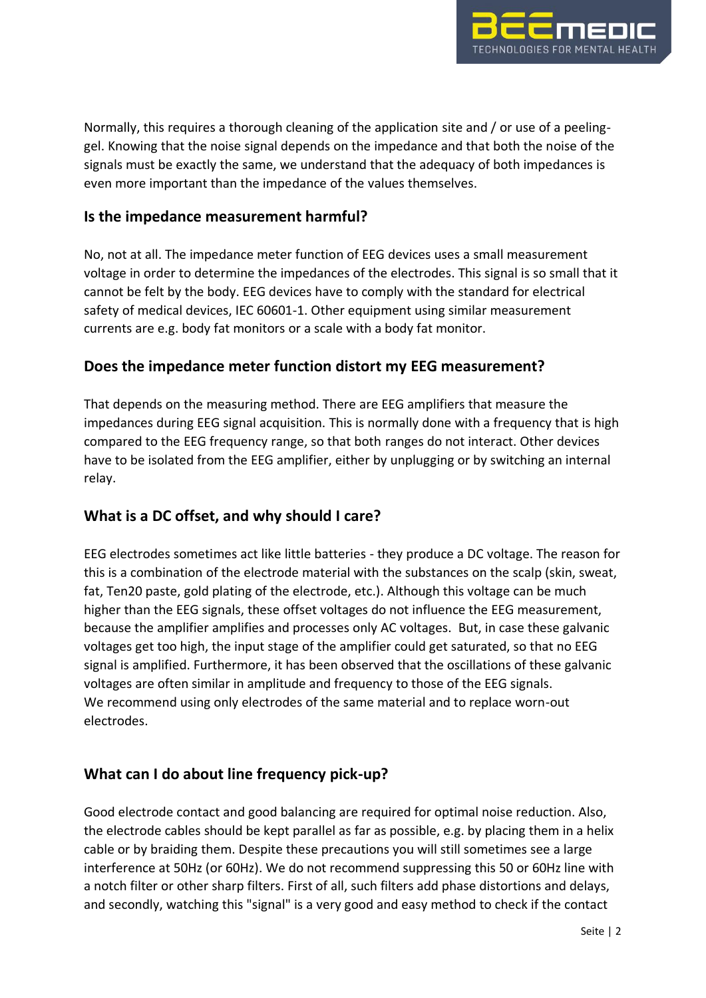

Normally, this requires a thorough cleaning of the application site and / or use of a peelinggel. Knowing that the noise signal depends on the impedance and that both the noise of the signals must be exactly the same, we understand that the adequacy of both impedances is even more important than the impedance of the values themselves.

### **Is the impedance measurement harmful?**

No, not at all. The impedance meter function of EEG devices uses a small measurement voltage in order to determine the impedances of the electrodes. This signal is so small that it cannot be felt by the body. EEG devices have to comply with the standard for electrical safety of medical devices, IEC 60601-1. Other equipment using similar measurement currents are e.g. body fat monitors or a scale with a body fat monitor.

### **Does the impedance meter function distort my EEG measurement?**

That depends on the measuring method. There are EEG amplifiers that measure the impedances during EEG signal acquisition. This is normally done with a frequency that is high compared to the EEG frequency range, so that both ranges do not interact. Other devices have to be isolated from the EEG amplifier, either by unplugging or by switching an internal relay.

#### **What is a DC offset, and why should I care?**

EEG electrodes sometimes act like little batteries - they produce a DC voltage. The reason for this is a combination of the electrode material with the substances on the scalp (skin, sweat, fat, Ten20 paste, gold plating of the electrode, etc.). Although this voltage can be much higher than the EEG signals, these offset voltages do not influence the EEG measurement, because the amplifier amplifies and processes only AC voltages. But, in case these galvanic voltages get too high, the input stage of the amplifier could get saturated, so that no EEG signal is amplified. Furthermore, it has been observed that the oscillations of these galvanic voltages are often similar in amplitude and frequency to those of the EEG signals. We recommend using only electrodes of the same material and to replace worn-out electrodes.

## **What can I do about line frequency pick-up?**

Good electrode contact and good balancing are required for optimal noise reduction. Also, the electrode cables should be kept parallel as far as possible, e.g. by placing them in a helix cable or by braiding them. Despite these precautions you will still sometimes see a large interference at 50Hz (or 60Hz). We do not recommend suppressing this 50 or 60Hz line with a notch filter or other sharp filters. First of all, such filters add phase distortions and delays, and secondly, watching this "signal" is a very good and easy method to check if the contact